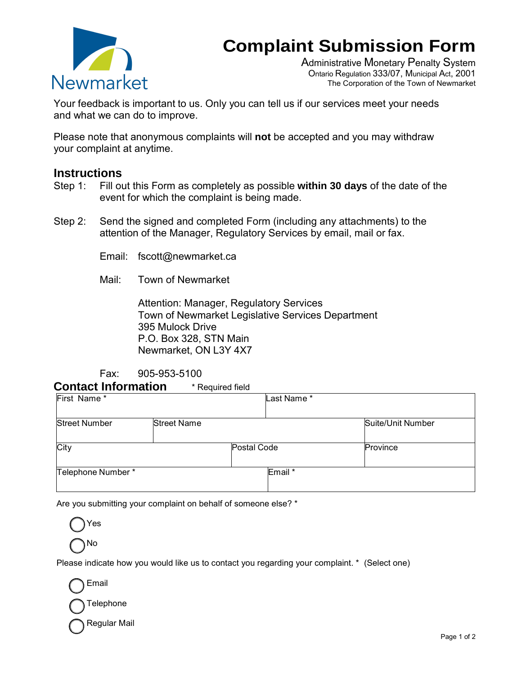## **Complaint Submission Form**



Administrative Monetary Penalty System Ontario Regulation 333/07, Municipal Act, 2001 The Corporation of the Town of Newmarket

Your feedback is important to us. Only you can tell us if our services meet your needs and what we can do to improve.

Please note that anonymous complaints will **not** be accepted and you may withdraw your complaint at anytime.

## **Instructions**

- Step 1: Fill out this Form as completely as possible **within 30 days** of the date of the event for which the complaint is being made.
- Step 2: Send the signed and completed Form (including any attachments) to the attention of the Manager, Regulatory Services by email, mail or fax.

Email: fscott@newmarket.ca

Mail: Town of Newmarket

Attention: Manager, Regulatory Services Town of Newmarket Legislative Services Department 395 Mulock Drive P.O. Box 328, STN Main Newmarket, ON L3Y 4X7

Fax: 905-953-5100

**Contact Information** \* Required field

| First Name*          |                    |             | Last Name* |                   |
|----------------------|--------------------|-------------|------------|-------------------|
| <b>Street Number</b> | <b>Street Name</b> |             |            | Suite/Unit Number |
| City                 |                    | Postal Code |            | Province          |
| Telephone Number *   |                    |             | Email *    |                   |

Are you submitting your complaint on behalf of someone else? \*



Please indicate how you would like us to contact you regarding your complaint. \* (Select one)

Email

Telephone

Regular Mail